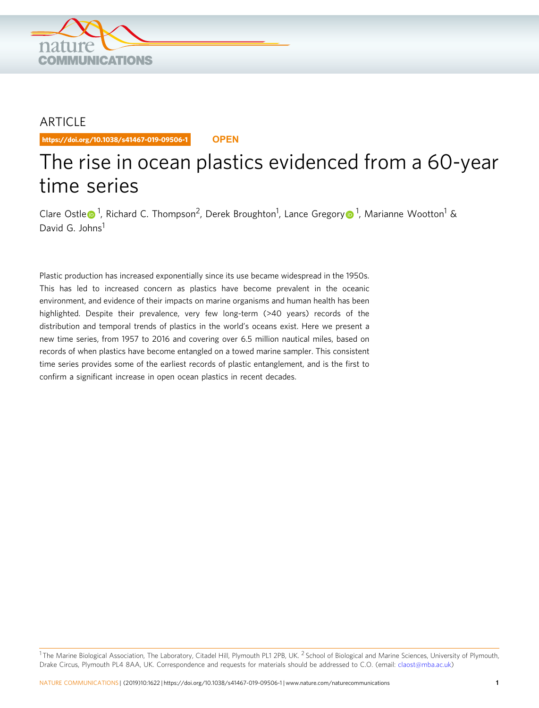

## ARTICLE

https://doi.org/10.1038/s41467-019-09506-1 **OPEN**

# The rise in ocean plastics evidenced from a 60-year time series

Clar[e](http://orcid.org/0000-0001-6923-5535) Ostle <sup>[1](http://orcid.org/0000-0003-1516-4713)</sup>, Richard C. Thompson<sup>2</sup>, Derek Broughton<sup>1</sup>, Lance Gregor[y](http://orcid.org/0000-0003-1516-4713) <sup>1</sup>, Marianne Wootton<sup>1</sup> & David G. Johns<sup>1</sup>

Plastic production has increased exponentially since its use became widespread in the 1950s. This has led to increased concern as plastics have become prevalent in the oceanic environment, and evidence of their impacts on marine organisms and human health has been highlighted. Despite their prevalence, very few long-term (>40 years) records of the distribution and temporal trends of plastics in the world's oceans exist. Here we present a new time series, from 1957 to 2016 and covering over 6.5 million nautical miles, based on records of when plastics have become entangled on a towed marine sampler. This consistent time series provides some of the earliest records of plastic entanglement, and is the first to confirm a significant increase in open ocean plastics in recent decades.

<sup>1</sup> The Marine Biological Association, The Laboratory, Citadel Hill, Plymouth PL1 2PB, UK. <sup>2</sup> School of Biological and Marine Sciences, University of Plymouth, Drake Circus, Plymouth PL4 8AA, UK. Correspondence and requests for materials should be addressed to C.O. (email: [claost@mba.ac.uk\)](mailto:claost@mba.ac.uk)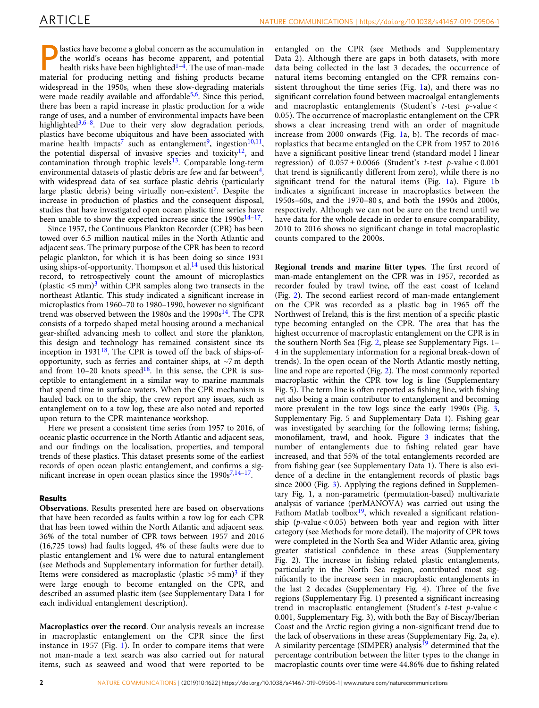lastics have become a global concern as the accumulation in the world's oceans has become apparent, and potential health risks have been highlighted $1-4$  $1-4$ . The use of man-made material for producing netting and fishing products became widespread in the 1950s, when these slow-degrading materials were made readily available and affordable<sup>5,6</sup>. Since this period, there has been a rapid increase in plastic production for a wide range of uses, and a number of environmental impacts have been highlighted<sup>3,6–8</sup>. Due to their very slow degradation periods, plastics have become ubiquitous and have been associated with marine health impacts<sup>7</sup> such as entanglement<sup>9</sup>, ingestion<sup>10,11</sup>, the potential dispersal of invasive species and toxicity<sup>12</sup>, and contamination through trophic levels $13$ . Comparable long-term environmental datasets of plastic debris are few and far between $4$ , with widespread data of sea surface plastic debris (particularly large plastic debris) being virtually non-existent<sup>[7](#page-4-0)</sup>. Despite the increase in production of plastics and the consequent disposal, studies that have investigated open ocean plastic time series have been unable to show the expected increase since the  $1990s^{14-17}$  $1990s^{14-17}$  $1990s^{14-17}$  $1990s^{14-17}$  $1990s^{14-17}$ .

Since 1957, the Continuous Plankton Recorder (CPR) has been towed over 6.5 million nautical miles in the North Atlantic and adjacent seas. The primary purpose of the CPR has been to record pelagic plankton, for which it is has been doing so since 1931 using ships-of-opportunity. Thompson et al. $^{14}$  used this historical record, to retrospectively count the amount of microplastics (plastic  $\leq 5$  mm)<sup>[3](#page-4-0)</sup> within CPR samples along two transects in the northeast Atlantic. This study indicated a significant increase in microplastics from 1960–70 to 1980–1990, however no significant trend was observed between the 1980s and the  $1990s<sup>14</sup>$  $1990s<sup>14</sup>$  $1990s<sup>14</sup>$ . The CPR consists of a torpedo shaped metal housing around a mechanical gear-shifted advancing mesh to collect and store the plankton, this design and technology has remained consistent since its inception in 1931<sup>18</sup>. The CPR is towed off the back of ships-ofopportunity, such as ferries and container ships, at ~7 m depth and from  $10-20$  knots speed<sup>18</sup>. In this sense, the CPR is susceptible to entanglement in a similar way to marine mammals that spend time in surface waters. When the CPR mechanism is hauled back on to the ship, the crew report any issues, such as entanglement on to a tow log, these are also noted and reported upon return to the CPR maintenance workshop.

Here we present a consistent time series from 1957 to 2016, of oceanic plastic occurrence in the North Atlantic and adjacent seas, and our findings on the localisation, properties, and temporal trends of these plastics. This dataset presents some of the earliest records of open ocean plastic entanglement, and confirms a significant increase in open ocean plastics since the  $1990s^{7,14-17}$  $1990s^{7,14-17}$  $1990s^{7,14-17}$  $1990s^{7,14-17}$  $1990s^{7,14-17}$ .

### Results

Observations. Results presented here are based on observations that have been recorded as faults within a tow log for each CPR that has been towed within the North Atlantic and adjacent seas. 36% of the total number of CPR tows between 1957 and 2016 (16,725 tows) had faults logged, 4% of these faults were due to plastic entanglement and 1% were due to natural entanglement (see Methods and Supplementary information for further detail). Items were considered as macroplastic (plastic  $>5$  mm)<sup>3</sup> if they were large enough to become entangled on the CPR, and described an assumed plastic item (see Supplementary Data 1 for each individual entanglement description).

Macroplastics over the record. Our analysis reveals an increase in macroplastic entanglement on the CPR since the first instance in 1957 (Fig. [1](#page-2-0)). In order to compare items that were not man-made a text search was also carried out for natural items, such as seaweed and wood that were reported to be entangled on the CPR (see Methods and Supplementary Data 2). Although there are gaps in both datasets, with more data being collected in the last 3 decades, the occurrence of natural items becoming entangled on the CPR remains consistent throughout the time series (Fig. [1](#page-2-0)a), and there was no significant correlation found between macroalgal entanglements and macroplastic entanglements (Student's  $t$ -test  $p$ -value < 0.05). The occurrence of macroplastic entanglement on the CPR shows a clear increasing trend with an order of magnitude increase from 2000 onwards (Fig. [1a](#page-2-0), b). The records of macroplastics that became entangled on the CPR from 1957 to 2016 have a significant positive linear trend (standard model I linear regression) of  $0.057 \pm 0.0066$  (Student's *t*-test *p*-value < 0.001 that trend is significantly different from zero), while there is no significant trend for the natural items (Fig. [1a](#page-2-0)). Figure [1b](#page-2-0) indicates a significant increase in macroplastics between the 1950s–60s, and the 1970–80 s, and both the 1990s and 2000s, respectively. Although we can not be sure on the trend until we have data for the whole decade in order to ensure comparability, 2010 to 2016 shows no significant change in total macroplastic counts compared to the 2000s.

Regional trends and marine litter types. The first record of man-made entanglement on the CPR was in 1957, recorded as recorder fouled by trawl twine, off the east coast of Iceland (Fig. [2\)](#page-3-0). The second earliest record of man-made entanglement on the CPR was recorded as a plastic bag in 1965 off the Northwest of Ireland, this is the first mention of a specific plastic type becoming entangled on the CPR. The area that has the highest occurrence of macroplastic entanglement on the CPR is in the southern North Sea (Fig. [2,](#page-3-0) please see Supplementary Figs. 1– 4 in the supplementary information for a regional break-down of trends). In the open ocean of the North Atlantic mostly netting, line and rope are reported (Fig. [2\)](#page-3-0). The most commonly reported macroplastic within the CPR tow log is line (Supplementary Fig. 5). The term line is often reported as fishing line, with fishing net also being a main contributor to entanglement and becoming more prevalent in the tow logs since the early 1990s (Fig. [3,](#page-3-0) Supplementary Fig. 5 and Supplementary Data 1). Fishing gear was investigated by searching for the following terms; fishing, monofilament, trawl, and hook. Figure [3](#page-3-0) indicates that the number of entanglements due to fishing related gear have increased, and that 55% of the total entanglements recorded are from fishing gear (see Supplementary Data 1). There is also evidence of a decline in the entanglement records of plastic bags since 2000 (Fig. [3\)](#page-3-0). Applying the regions defined in Supplementary Fig. 1, a non-parametric (permutation-based) multivariate analysis of variance (perMANOVA) was carried out using the Fathom Matlab toolbox $19$ , which revealed a significant relationship ( $p$ -value < 0.05) between both year and region with litter category (see Methods for more detail). The majority of CPR tows were completed in the North Sea and Wider Atlantic area, giving greater statistical confidence in these areas (Supplementary Fig. 2). The increase in fishing related plastic entanglements, particularly in the North Sea region, contributed most significantly to the increase seen in macroplastic entanglements in the last 2 decades (Supplementary Fig. 4). Three of the five regions (Supplementary Fig. 1) presented a significant increasing trend in macroplastic entanglement (Student's  $t$ -test  $p$ -value < 0.001, Supplementary Fig. 3), with both the Bay of Biscay/Iberian Coast and the Arctic region giving a non-significant trend due to the lack of observations in these areas (Supplementary Fig. 2a, e). A similarity percentage (SIMPER) analysis<sup>[19](#page-5-0)</sup> determined that the percentage contribution between the litter types to the change in macroplastic counts over time were 44.86% due to fishing related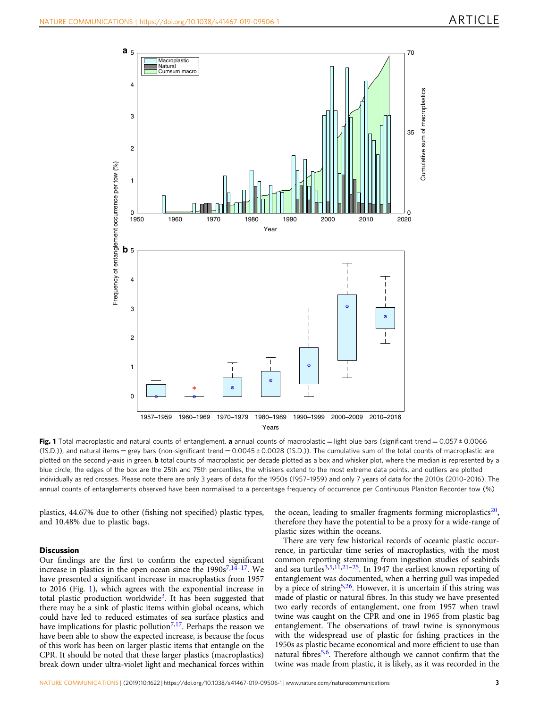<span id="page-2-0"></span>

Fig. 1 Total macroplastic and natural counts of entanglement. a annual counts of macroplastic = light blue bars (significant trend = 0.057 ± 0.0066  $(15.D.)$ , and natural items = grey bars (non-significant trend = 0.0045 ± 0.0028 (15.D.)). The cumulative sum of the total counts of macroplastic are plotted on the second y-axis in green. **b** total counts of macroplastic per decade plotted as a box and whisker plot, where the median is represented by a blue circle, the edges of the box are the 25th and 75th percentiles, the whiskers extend to the most extreme data points, and outliers are plotted individually as red crosses. Please note there are only 3 years of data for the 1950s (1957–1959) and only 7 years of data for the 2010s (2010–2016). The annual counts of entanglements observed have been normalised to a percentage frequency of occurrence per Continuous Plankton Recorder tow (%)

plastics, 44.67% due to other (fishing not specified) plastic types, and 10.48% due to plastic bags.

#### **Discussion**

Our findings are the first to confirm the expected significant increase in plastics in the open ocean since the  $1990s^{7,14-17}$  $1990s^{7,14-17}$  $1990s^{7,14-17}$  $1990s^{7,14-17}$  $1990s^{7,14-17}$  $1990s^{7,14-17}$  $1990s^{7,14-17}$ . We have presented a significant increase in macroplastics from 1957 to 2016 (Fig. 1), which agrees with the exponential increase in total plastic production worldwide<sup>3</sup>. It has been suggested that there may be a sink of plastic items within global oceans, which could have led to reduced estimates of sea surface plastics and have implications for plastic pollution<sup>[7](#page-4-0),[17](#page-5-0)</sup>. Perhaps the reason we have been able to show the expected increase, is because the focus of this work has been on larger plastic items that entangle on the CPR. It should be noted that these larger plastics (macroplastics) break down under ultra-violet light and mechanical forces within

the ocean, leading to smaller fragments forming microplastics $20$ , therefore they have the potential to be a proxy for a wide-range of plastic sizes within the oceans.

There are very few historical records of oceanic plastic occurrence, in particular time series of macroplastics, with the most common reporting stemming from ingestion studies of seabirds and sea turtles<sup>[3](#page-4-0),[5,11,](#page-4-0)[21](#page-5-0)–25</sup>. In 1947 the earliest known reporting of entanglement was documented, when a herring gull was impeded by a piece of string<sup>5,[26](#page-5-0)</sup>. However, it is uncertain if this string was made of plastic or natural fibres. In this study we have presented two early records of entanglement, one from 1957 when trawl twine was caught on the CPR and one in 1965 from plastic bag entanglement. The observations of trawl twine is synonymous with the widespread use of plastic for fishing practices in the 1950s as plastic became economical and more efficient to use than natural fibres<sup>5,[6](#page-4-0)</sup>. Therefore although we cannot confirm that the twine was made from plastic, it is likely, as it was recorded in the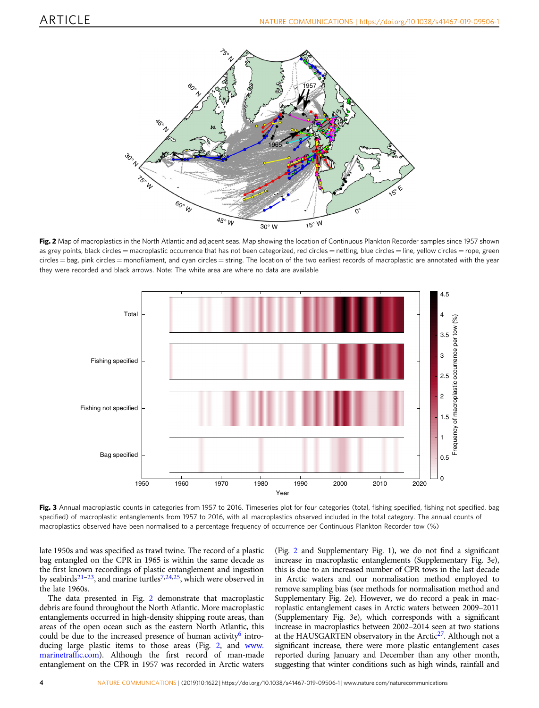<span id="page-3-0"></span>

Fig. 2 Map of macroplastics in the North Atlantic and adjacent seas. Map showing the location of Continuous Plankton Recorder samples since 1957 shown as grey points, black circles = macroplastic occurrence that has not been categorized, red circles = netting, blue circles = line, yellow circles = rope, green circles = bag, pink circles = monofilament, and cyan circles = string. The location of the two earliest records of macroplastic are annotated with the year they were recorded and black arrows. Note: The white area are where no data are available



Fig. 3 Annual macroplastic counts in categories from 1957 to 2016. Timeseries plot for four categories (total, fishing specified, fishing not specified, bag specified) of macroplastic entanglements from 1957 to 2016, with all macroplastics observed included in the total category. The annual counts of macroplastics observed have been normalised to a percentage frequency of occurrence per Continuous Plankton Recorder tow (%)

late 1950s and was specified as trawl twine. The record of a plastic bag entangled on the CPR in 1965 is within the same decade as the first known recordings of plastic entanglement and ingestion by seabirds<sup>[21](#page-5-0)-23</sup>, and marine turtles<sup>7,[24](#page-5-0),25</sup>, which were observed in the late 1960s.

The data presented in Fig. 2 demonstrate that macroplastic debris are found throughout the North Atlantic. More macroplastic entanglements occurred in high-density shipping route areas, than areas of the open ocean such as the eastern North Atlantic, this could be due to the increased presence of human activity<sup>6</sup> introducing large plastic items to those areas (Fig. 2, and [www.](http://www.marinetraffic.com) [marinetraf](http://www.marinetraffic.com)fic.com). Although the first record of man-made entanglement on the CPR in 1957 was recorded in Arctic waters

(Fig. 2 and Supplementary Fig. 1), we do not find a significant increase in macroplastic entanglements (Supplementary Fig. 3e), this is due to an increased number of CPR tows in the last decade in Arctic waters and our normalisation method employed to remove sampling bias (see methods for normalisation method and Supplementary Fig. 2e). However, we do record a peak in macroplastic entanglement cases in Arctic waters between 2009–2011 (Supplementary Fig. 3e), which corresponds with a significant increase in macroplastics between 2002–2014 seen at two stations at the HAUSGARTEN observatory in the Arctic<sup>27</sup>. Although not a significant increase, there were more plastic entanglement cases reported during January and December than any other month, suggesting that winter conditions such as high winds, rainfall and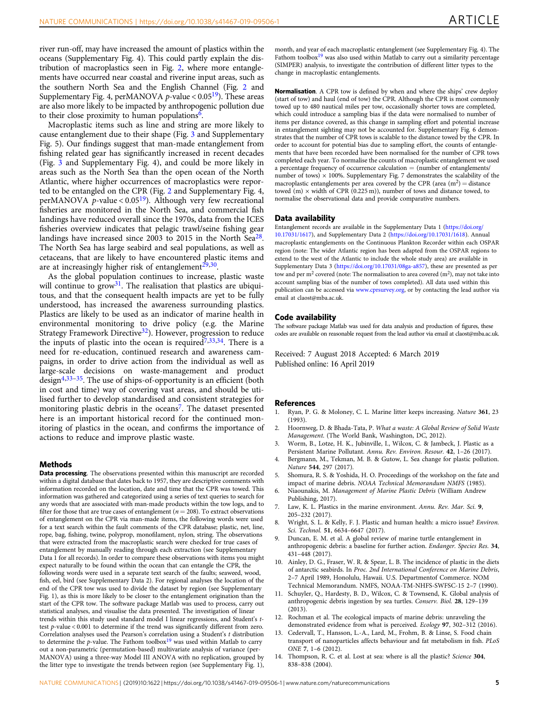<span id="page-4-0"></span>river run-off, may have increased the amount of plastics within the oceans (Supplementary Fig. 4). This could partly explain the distribution of macroplastics seen in Fig. [2,](#page-3-0) where more entanglements have occurred near coastal and riverine input areas, such as the southern North Sea and the English Channel (Fig. [2](#page-3-0) and Supplementary Fig. 4, perMANOVA *p*-value  $< 0.05<sup>19</sup>$ ). These areas are also more likely to be impacted by anthropogenic pollution due to their close proximity to human populations<sup>6</sup>.

Macroplastic items such as line and string are more likely to cause entanglement due to their shape (Fig. [3](#page-3-0) and Supplementary Fig. 5). Our findings suggest that man-made entanglement from fishing related gear has significantly increased in recent decades (Fig. [3](#page-3-0) and Supplementary Fig. 4), and could be more likely in areas such as the North Sea than the open ocean of the North Atlantic, where higher occurrences of macroplastics were reported to be entangled on the CPR (Fig. [2](#page-3-0) and Supplementary Fig. 4, perMANOVA p-value <  $0.05^{19}$  $0.05^{19}$  $0.05^{19}$ ). Although very few recreational fisheries are monitored in the North Sea, and commercial fish landings have reduced overall since the 1970s, data from the ICES fisheries overview indicates that pelagic trawl/seine fishing gear landings have increased since 2003 to 2015 in the North Sea $^{28}$ . The North Sea has large seabird and seal populations, as well as cetaceans, that are likely to have encountered plastic items and are at increasingly higher risk of entanglement $29,30$ .

As the global population continues to increase, plastic waste will continue to  $\text{grow}^{31}$  $\text{grow}^{31}$  $\text{grow}^{31}$ . The realisation that plastics are ubiquitous, and that the consequent health impacts are yet to be fully understood, has increased the awareness surrounding plastics. Plastics are likely to be used as an indicator of marine health in environmental monitoring to drive policy (e.g. the Marine Strategy Framework Directive<sup>32</sup>). However, progression to reduce the inputs of plastic into the ocean is required<sup> $7,33,34$ </sup>. There is a need for re-education, continued research and awareness campaigns, in order to drive action from the individual as well as large-scale decisions on waste-management and product design4[,33](#page-5-0)–[35.](#page-5-0) The use of ships-of-opportunity is an efficient (both in cost and time) way of covering vast areas, and should be utilised further to develop standardised and consistent strategies for monitoring plastic debris in the oceans<sup>7</sup>. The dataset presented here is an important historical record for the continued monitoring of plastics in the ocean, and confirms the importance of actions to reduce and improve plastic waste.

#### Methods

Data processing. The observations presented within this manuscript are recorded within a digital database that dates back to 1957, they are descriptive comments with information recorded on the location, date and time that the CPR was towed. This information was gathered and categorized using a series of text queries to search for any words that are associated with man-made products within the tow logs, and to filter for those that are true cases of entanglement ( $n = 208$ ). To extract observations of entanglement on the CPR via man-made items, the following words were used for a text search within the fault comments of the CPR database; plastic, net, line, rope, bag, fishing, twine, polyprop, monofilament, nylon, string. The observations that were extracted from the macroplastic search were checked for true cases of entanglement by manually reading through each extraction (see Supplementary Data 1 for all records). In order to compare these observations with items you might expect naturally to be found within the ocean that can entangle the CPR, the following words were used in a separate text search of the faults; seaweed, wood, fish, eel, bird (see Supplementary Data 2). For regional analyses the location of the end of the CPR tow was used to divide the dataset by region (see Supplementary Fig. 1), as this is more likely to be closer to the entanglement origination than the start of the CPR tow. The software package Matlab was used to process, carry out statistical analyses, and visualise the data presented. The investigation of linear trends within this study used standard model I linear regressions, and Student's ttest p-value < 0.001 to determine if the trend was significantly different from zero. Correlation analyses used the Pearson's correlation using a Student's t distribution to determine the p-value. The Fathom toolbox<sup>[19](#page-5-0)</sup> was used within Matlab to carry out a non-parametric (permutation-based) multivariate analysis of variance (per-MANOVA) using a three-way Model III ANOVA with no replication, grouped by the litter type to investigate the trends between region (see Supplementary Fig. 1),

month, and year of each macroplastic entanglement (see Supplementary Fig. 4). The Fathom toolbox<sup>19</sup> was also used within Matlab to carry out a similarity percentage (SIMPER) analysis, to investigate the contribution of different litter types to the change in macroplastic entanglements.

Normalisation. A CPR tow is defined by when and where the ships' crew deploy (start of tow) and haul (end of tow) the CPR. Although the CPR is most commonly towed up to 480 nautical miles per tow, occasionally shorter tows are completed, which could introduce a sampling bias if the data were normalised to number of items per distance covered, as this change in sampling effort and potential increase in entanglement sighting may not be accounted for. Supplementary Fig. 6 demonstrates that the number of CPR tows is scalable to the distance towed by the CPR. In order to account for potential bias due to sampling effort, the counts of entanglements that have been recorded have been normalised for the number of CPR tows completed each year. To normalise the counts of macroplastic entanglement we used a percentage frequency of occurrence calculation  $=$  (number of entanglements/ number of tows)  $\times$  100%. Supplementary Fig. 7 demonstrates the scalability of the macroplastic entanglements per area covered by the CPR (area  $(m^2)$  = distance towed (m)  $\times$  width of CPR (0.225 m)), number of tows and distance towed, to normalise the observational data and provide comparative numbers.

#### Data availability

Entanglement records are available in the Supplementary Data 1 [\(https://doi.org/](https://doi.org/10.17031/1617) [10.17031/1617](https://doi.org/10.17031/1617)), and Supplementary Data 2 [\(https://doi.org/10.17031/1618](https://doi.org/10.17031/1618)). Annual macroplastic entanglements on the Continuous Plankton Recorder within each OSPAR region (note: The wider Atlantic region has been adapted from the OSPAR regions to extend to the west of the Atlantic to include the whole study area) are available in Supplementary Data 3 ([https://doi.org/10.17031/08ga-a857\)](https://doi.org/10.17031/08ga-a857), these are presented as per tow and per  $m^2$  covered (note: The normalisation to area covered  $(m^2)$ , may not take into account sampling bias of the number of tows completed). All data used within this publication can be accessed via [www.cprsurvey.org,](http://www.cprsurvey.org) or by contacting the lead author via email at claost@mba.ac.uk.

#### Code availability

The software package Matlab was used for data analysis and production of figures, these codes are available on reasonable request from the lead author via email at claost@mba.ac.uk.

Received: 7 August 2018 Accepted: 6 March 2019

#### **References**

- 1. Ryan, P. G. & Moloney, C. L. Marine litter keeps increasing. Nature 361, 23  $(1993)$
- 2. Hoornweg, D. & Bhada-Tata, P. What a waste: A Global Review of Solid Waste Management. (The World Bank, Washington, DC, 2012).
- 3. Worm, B., Lotze, H. K., Jubinville, I., Wilcox, C. & Jambeck, J. Plastic as a Persistent Marine Pollutant. Annu. Rev. Environ. Resour. 42, 1–26 (2017).
- 4. Bergmann, M., Tekman, M. B. & Gutow, L. Sea change for plastic pollution. Nature 544, 297 (2017).
- 5. Shomura, R. S. & Yoshida, H. O. Proceedings of the workshop on the fate and impact of marine debris. NOAA Technical Memorandum NMFS (1985).
- 6. Niaounakis, M. Management of Marine Plastic Debris (William Andrew Publishing, 2017).
- 7. Law, K. L. Plastics in the marine environment. Annu. Rev. Mar. Sci. 9, 205–232 (2017).
- 8. Wright, S. L. & Kelly, F. J. Plastic and human health: a micro issue? Environ. Sci. Technol. 51, 6634–6647 (2017).
- 9. Duncan, E. M. et al. A global review of marine turtle entanglement in anthropogenic debris: a baseline for further action. Endanger. Species Res. 34, 431–448 (2017).
- 10. Ainley, D. G., Fraser, W. R. & Spear, L. B. The incidence of plastic in the diets of antarctic seabirds. In Proc. 2nd International Conference on Marine Debris, 2–7 April 1989, Honolulu, Hawaii. U.S. Departmentof Commerce. NOM Technical Memorandum. NMFS, NOAA-TM-NHFS-SWFSC-15 2–7 (1990).
- 11. Schuyler, Q., Hardesty, B. D., Wilcox, C. & Townsend, K. Global analysis of anthropogenic debris ingestion by sea turtles. Conserv. Biol. 28, 129–139 (2013).
- 12. Rochman et al. The ecological impacts of marine debris: unraveling the demonstrated evidence from what is perceived. Ecology 97, 302–312 (2016).
- 13. Cedervall, T., Hansson, L.-A., Lard, M., Frohm, B. & Linse, S. Food chain transport of nanoparticles affects behaviour and fat metabolism in fish. PLoS ONE 7, 1–6 (2012).
- 14. Thompson, R. C. et al. Lost at sea: where is all the plastic? Science 304, 838–838 (2004).